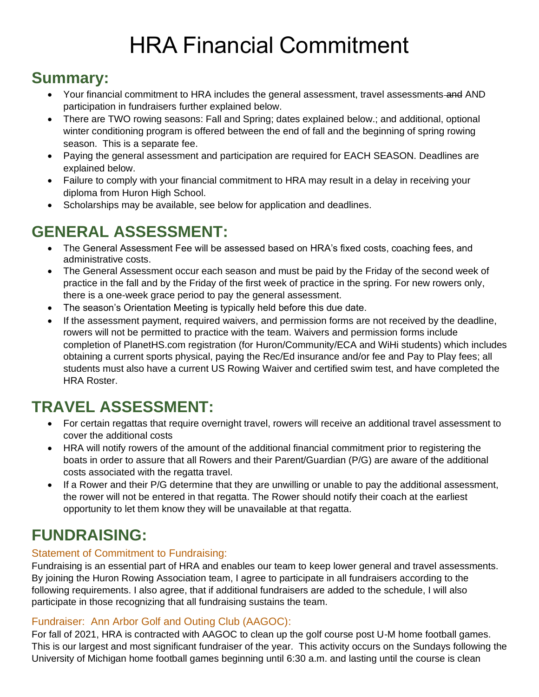# HRA Financial Commitment

### **Summary:**

- Your financial commitment to HRA includes the general assessment, travel assessments-and AND participation in fundraisers further explained below.
- There are TWO rowing seasons: Fall and Spring; dates explained below.; and additional, optional winter conditioning program is offered between the end of fall and the beginning of spring rowing season. This is a separate fee.
- Paying the general assessment and participation are required for EACH SEASON. Deadlines are explained below.
- Failure to comply with your financial commitment to HRA may result in a delay in receiving your diploma from Huron High School.
- Scholarships may be available, see below for application and deadlines.

# **GENERAL ASSESSMENT:**

- The General Assessment Fee will be assessed based on HRA's fixed costs, coaching fees, and administrative costs.
- The General Assessment occur each season and must be paid by the Friday of the second week of practice in the fall and by the Friday of the first week of practice in the spring. For new rowers only, there is a one-week grace period to pay the general assessment.
- The season's Orientation Meeting is typically held before this due date.
- If the assessment payment, required waivers, and permission forms are not received by the deadline, rowers will not be permitted to practice with the team. Waivers and permission forms include completion of PlanetHS.com registration (for Huron/Community/ECA and WiHi students) which includes obtaining a current sports physical, paying the Rec/Ed insurance and/or fee and Pay to Play fees; all students must also have a current US Rowing Waiver and certified swim test, and have completed the HRA Roster.

# **TRAVEL ASSESSMENT:**

- For certain regattas that require overnight travel, rowers will receive an additional travel assessment to cover the additional costs
- HRA will notify rowers of the amount of the additional financial commitment prior to registering the boats in order to assure that all Rowers and their Parent/Guardian (P/G) are aware of the additional costs associated with the regatta travel.
- If a Rower and their P/G determine that they are unwilling or unable to pay the additional assessment, the rower will not be entered in that regatta. The Rower should notify their coach at the earliest opportunity to let them know they will be unavailable at that regatta.

# **FUNDRAISING:**

#### Statement of Commitment to Fundraising:

Fundraising is an essential part of HRA and enables our team to keep lower general and travel assessments. By joining the Huron Rowing Association team, I agree to participate in all fundraisers according to the following requirements. I also agree, that if additional fundraisers are added to the schedule, I will also participate in those recognizing that all fundraising sustains the team.

#### Fundraiser: Ann Arbor Golf and Outing Club (AAGOC):

For fall of 2021, HRA is contracted with AAGOC to clean up the golf course post U-M home football games. This is our largest and most significant fundraiser of the year. This activity occurs on the Sundays following the University of Michigan home football games beginning until 6:30 a.m. and lasting until the course is clean